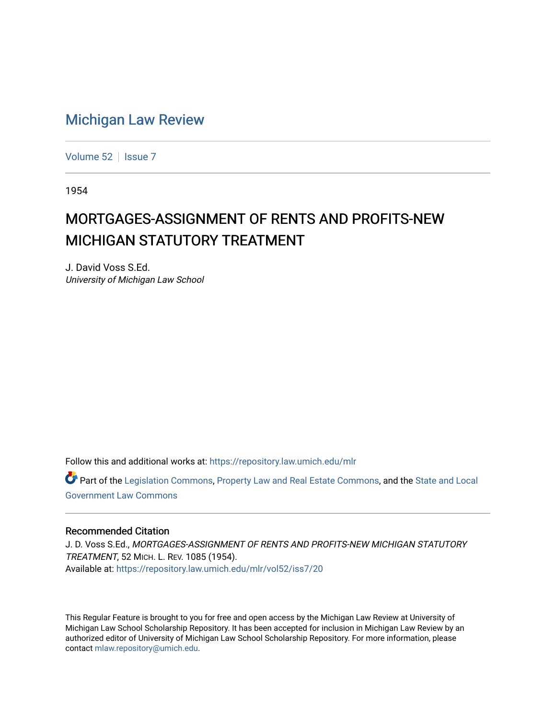## [Michigan Law Review](https://repository.law.umich.edu/mlr)

[Volume 52](https://repository.law.umich.edu/mlr/vol52) | [Issue 7](https://repository.law.umich.edu/mlr/vol52/iss7)

1954

## MORTGAGES-ASSIGNMENT OF RENTS AND PROFITS-NEW MICHIGAN STATUTORY TREATMENT

J. David Voss S.Ed. University of Michigan Law School

Follow this and additional works at: [https://repository.law.umich.edu/mlr](https://repository.law.umich.edu/mlr?utm_source=repository.law.umich.edu%2Fmlr%2Fvol52%2Fiss7%2F20&utm_medium=PDF&utm_campaign=PDFCoverPages) 

Part of the [Legislation Commons](http://network.bepress.com/hgg/discipline/859?utm_source=repository.law.umich.edu%2Fmlr%2Fvol52%2Fiss7%2F20&utm_medium=PDF&utm_campaign=PDFCoverPages), [Property Law and Real Estate Commons,](http://network.bepress.com/hgg/discipline/897?utm_source=repository.law.umich.edu%2Fmlr%2Fvol52%2Fiss7%2F20&utm_medium=PDF&utm_campaign=PDFCoverPages) and the [State and Local](http://network.bepress.com/hgg/discipline/879?utm_source=repository.law.umich.edu%2Fmlr%2Fvol52%2Fiss7%2F20&utm_medium=PDF&utm_campaign=PDFCoverPages)  [Government Law Commons](http://network.bepress.com/hgg/discipline/879?utm_source=repository.law.umich.edu%2Fmlr%2Fvol52%2Fiss7%2F20&utm_medium=PDF&utm_campaign=PDFCoverPages) 

## Recommended Citation

J. D. Voss S.Ed., MORTGAGES-ASSIGNMENT OF RENTS AND PROFITS-NEW MICHIGAN STATUTORY TREATMENT, 52 MICH. L. REV. 1085 (1954). Available at: [https://repository.law.umich.edu/mlr/vol52/iss7/20](https://repository.law.umich.edu/mlr/vol52/iss7/20?utm_source=repository.law.umich.edu%2Fmlr%2Fvol52%2Fiss7%2F20&utm_medium=PDF&utm_campaign=PDFCoverPages) 

This Regular Feature is brought to you for free and open access by the Michigan Law Review at University of Michigan Law School Scholarship Repository. It has been accepted for inclusion in Michigan Law Review by an authorized editor of University of Michigan Law School Scholarship Repository. For more information, please contact [mlaw.repository@umich.edu](mailto:mlaw.repository@umich.edu).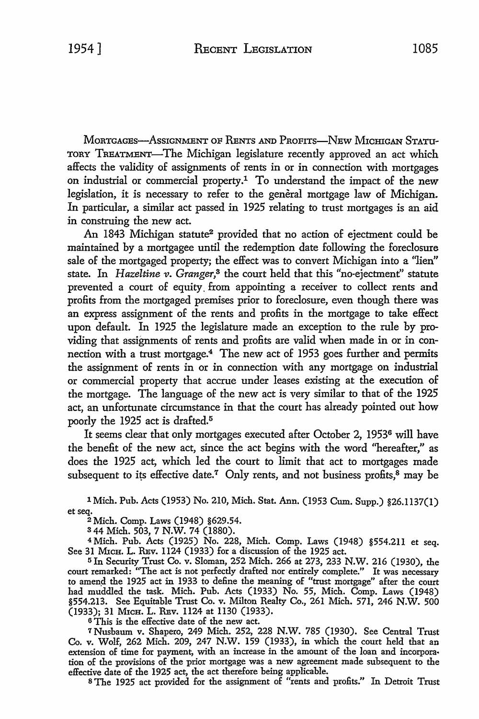MoRTGAGEs-Ass1GNMENT OF RENTs AND PRoF1Ts-NEw MICmGAN STATU-TORY TREATMENT-The Michigan legislature recently approved an act which affects the validity of assignments of rents in or in connection with mortgages on industrial or commercial property.1 To understand the impact of the new legislation, it is necessary to refer to the general mortgage law of Michigan. In particular, a similar act passed in 1925 relating to trust mortgages is an aid in construing the new act.

An 1843 Michigan statute<sup>2</sup> provided that no action of ejectment could be maintained by a mortgagee until the redemption date following the foreclosure sale of the mortgaged property; the effect was to convert Michigan into a ''lien" state. In *Hazeltine v. Granger,3* the court held that this "no-ejectment" statute prevented a court of equity. from appointing a receiver to collect rents and profits from the mortgaged premises prior to foreclosure, even though there was an express assignment of the rents and profits in the mortgage to take effect upon default. In 1925 the legislature made an exception to the rule by providing that assignments of rents and profits are valid when made in or in connection with a trust mortgage.4 The new act of 1953 goes further and permits the assignment of rents in or in connection with any mortgage on industrial or commercial property that accrue under leases existing at the execution of the mortgage. The language of the new act is very similar to that of the 1925 act, an unfortunate circumstance in that the court has already pointed out how poorly the 1925 act is drafted.<sup>5</sup>

It seems clear that only mortgages executed after October 2, 19536 will have the benefit of the new act, since the act begins with the word ''hereafter," as does the 1925 act, which led the court to limit that act to mortgages made subsequent to its effective date.<sup>7</sup> Only rents, and not business profits, $8 \text{ may be}$ 

1 Mich. Pub. Acts (1953) No. 210, Mich. Stat. Ann. (1953 Cum. Supp.) §26.l 137(1) et seq.

<sup>2</sup>Mich. Comp. Laws (1948) §629.54.

s 44 Mich. 503, 7 N.W. 74 (1880).

<sup>4</sup>Mich. Pub. Acts (1925) No. 228, Mich. Comp. Laws (1948) §554.2II et seq. See 31 MICH. L. REV. 1124 (1933) for a discussion of the 1925 act.

<sup>5</sup>In Security Trust Co. v. Sloman, 252 Mich. 266 at 273, 233 N.W. 216 (1930), the court remarked: "The act is not perfectly drafted nor entirely complete." It was necessary to amend the 1925 act in 1933 to define the meaning of "trust mortgage" after the court had muddled the task. Mich. Pub. Acts (1933) No. 55, Mich. Comp. Laws (1948) §554.213. See Equitable Trust Co. v. Milton Realty Co., 261 Mich. 571, 246 N.W. 500 (1933); 31 M1cH. L. REv. ll24 at 1130 (1933).

<sup>6</sup>This is the effective date of the new act.

<sup>7</sup>Nusbaum v. Shapero, 249 Mich. 252, 228 N.W. 785 (1930). See Central Trust Co. v. Wolf, 262 Mich. 209, 247 N.W. 159 (1933), in which the court held that an extension of time for payment, with an increase in the amount of the loan and incorpora• tion of the provisions of the prior mortgage was a new agreement made subsequent to the effective date of the 1925 act, the act therefore being applicable.

s The 1925 act provided for the assignment of "rents and profits." In Detroit Trust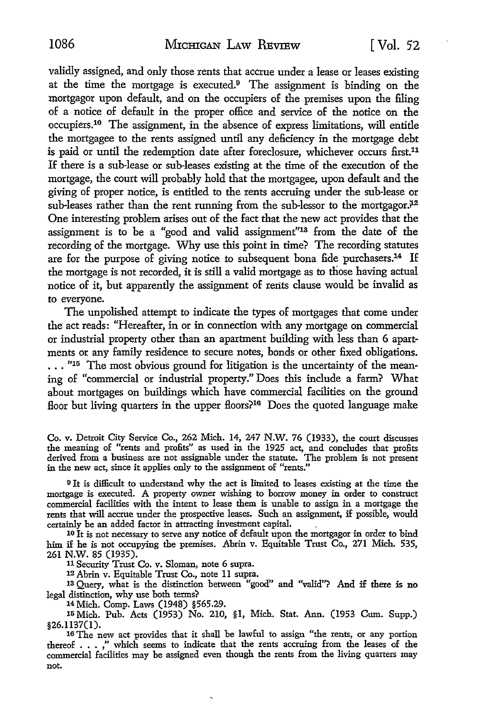validly assigned, and only those rents that accrue under a lease or leases existing at the time the mortgage is executed.<sup>9</sup> The assignment is binding on the mortgagor upon default, and on the occupiers of the premises upon the filing of a notice of default in the proper office and service of the notice on the occupiers.10 The assignment, in the absence of express limitations, will entitle the mortgagee to the rents assigned until any deficiency in the mortgage debt is paid or until the redemption date after foreclosure, whichever occurs first.<sup>11</sup> If there is a sub-lease or sub-leases existing at the time of the execution of the mortgage, the court will probably hold that the mortgagee, upon default and the giving of proper notice, is entitled to the rents accruing under the sub-lease or sub-leases rather than the rent running from the sub-lessor to the mortgagor. $i^2$ One interesting problem arises out of the fact that the new act provides that the assignment is to be a "good and valid assignment"13 from the date of the recording of the mortgage. Why use this point in time? The recording statutes are for the purpose of giving notice to subsequent bona fide purchasers.<sup>14</sup> If the mortgage is not recorded, it is still a valid mortgage as to those having actual notice of it, but apparently the assignment of rerits clause would be invalid as to everyone.

The unpolished attempt to indicate the types of mortgages that come under the act reads: "Hereafter, in or in connection with any mortgage on commercial or industrial property other than an apartment building with less than 6 apartments or any family residence to secure notes, bonds or other fixed obligations.  $\ldots$  "<sup>15</sup> The most obvious ground for litigation is the uncertainty of the meaning of "commercial or industrial property." Does this include a farm? What about mortgages on buildings which have commercial facilities on the ground floor but living quarters in the upper floors?<sup>16</sup> Does the quoted language make

Co. v. Detroit City Service Co., 262 Mich. 14, 247 N.W. 76 (1933), the court discusses the meaning of "rents and profits" as used in the 1925 act, and concludes that profits derived from a business are not assignable under the statute. The problem is not present in the new act, since it applies only to the assignment of "rents."

<sup>9</sup>It is difficult to understand why the act is limited to leases existing at the time the mortgage is executed. A property owner wishing to borrow money in order to construct commercial facilities with the intent to lease them is unable to assign in a mortgage the rents that will accrue under the prospective leases. Such an assignment, if possible, would certainly be an added factor in attracting investment capital. .

10 It is not necessary to serve any notice of default upon the mortgagor in order to bind him if he is not occupying the premises. Abrin v. Equitable Trust Co., 271 Mich. 535, 261 **N.W.** 85 (1935).

<sup>11</sup>Security Trust Co. v. Sloman, note 6 supra.

12 Abrin v. Equitable Trust Co., note 11 supra.

13 Query, what is the distinction between "good" and "valid"? And if there is no legal distinction, why use both terms?

14 Mich. Comp. Laws (1948) §565.29.

15 Mich. Pub. Acts (1953) No. 210, §l, Mich. Stat. Ann. (1953 Cum. Supp.) §26.l 137(1).

16 The new act provides that it shall be lawful to assign "the rents, or any portion thereof . • . ," which seems to indicate that the rents accruing from the leases of the commercial facilities may be assigned even though the rents from the living quarters may not.